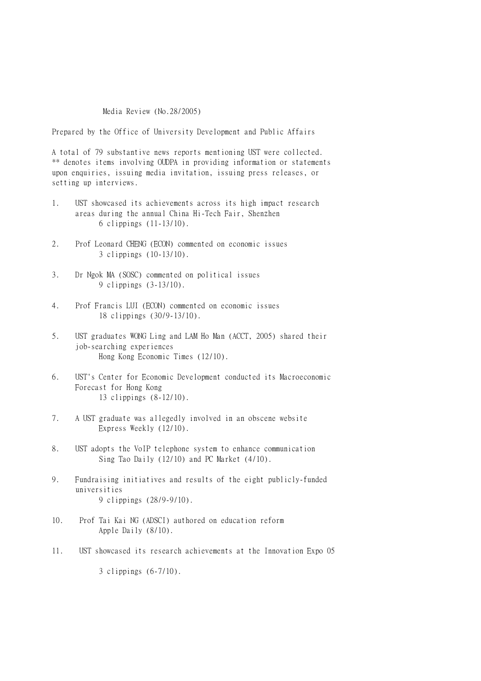## Media Review (No.28/2005)

Prepared by the Office of University Development and Public Affairs

A total of 79 substantive news reports mentioning UST were collected. \*\* denotes items involving OUDPA in providing information or statements upon enquiries, issuing media invitation, issuing press releases, or setting up interviews.

- 1. UST showcased its achievements across its high impact research areas during the annual China Hi-Tech Fair, Shenzhen 6 clippings (11-13/10).
- 2. Prof Leonard CHENG (ECON) commented on economic issues 3 clippings (10-13/10).
- 3. Dr Ngok MA (SOSC) commented on political issues 9 clippings (3-13/10).
- 4. Prof Francis LUI (ECON) commented on economic issues 18 clippings (30/9-13/10).
- 5. UST graduates WONG Ling and LAM Ho Man (ACCT, 2005) shared their job-searching experiences Hong Kong Economic Times (12/10).
- 6. UST's Center for Economic Development conducted its Macroeconomic Forecast for Hong Kong 13 clippings (8-12/10).
- 7. A UST graduate was allegedly involved in an obscene website Express Weekly (12/10).
- 8. UST adopts the VoIP telephone system to enhance communication Sing Tao Daily (12/10) and PC Market (4/10).
- 9. Fundraising initiatives and results of the eight publicly-funded universities 9 clippings (28/9-9/10).
- 10. Prof Tai Kai NG (ADSCI) authored on education reform Apple Daily (8/10).
- 11. UST showcased its research achievements at the Innovation Expo 05

3 clippings (6-7/10).